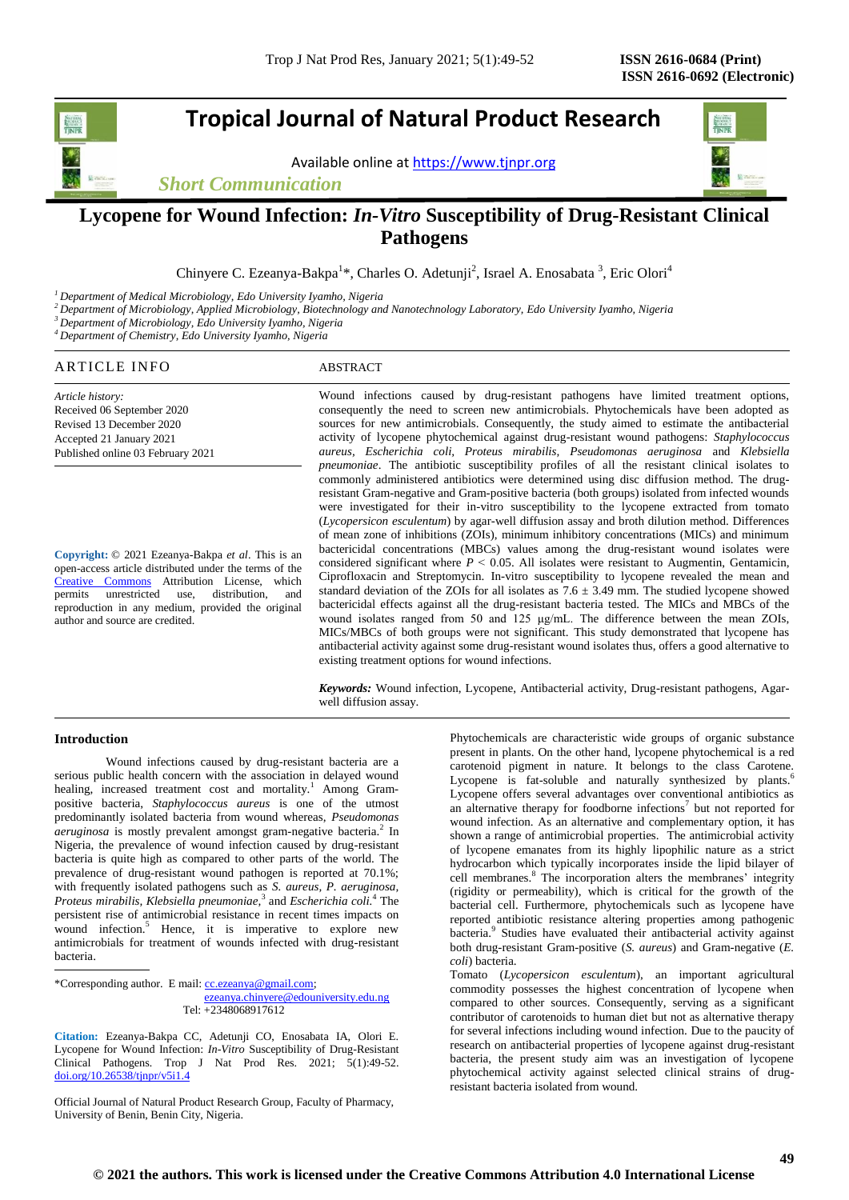# **Tropical Journal of Natural Product Research**

Available online a[t https://www.tjnpr.org](https://www.tjnpr.org/)





# **Lycopene for Wound Infection:** *In-Vitro* **Susceptibility of Drug-Resistant Clinical Pathogens**

Chinyere C. Ezeanya-Bakpa<sup>1\*</sup>, Charles O. Adetunji<sup>2</sup>, Israel A. Enosabata<sup>3</sup>, Eric Olori<sup>4</sup>

*<sup>1</sup>Department of Medical Microbiology, Edo University Iyamho, Nigeria*

*<sup>2</sup>Department of Microbiology, Applied Microbiology, Biotechnology and Nanotechnology Laboratory, Edo University Iyamho, Nigeria*

*<sup>3</sup>Department of Microbiology, Edo University Iyamho, Nigeria*

*<sup>4</sup>Department of Chemistry, Edo University Iyamho, Nigeria*

# ARTICLE INFO ABSTRACT

*Article history:* Received 06 September 2020 Revised 13 December 2020 Accepted 21 January 2021 Published online 03 February 2021

**Copyright:** © 2021 Ezeanya-Bakpa *et al*. This is an open-access article distributed under the terms of the [Creative Commons](https://creativecommons.org/licenses/by/4.0/) Attribution License, which permits unrestricted use, distribution, and reproduction in any medium, provided the original author and source are credited.

Wound infections caused by drug-resistant pathogens have limited treatment options, consequently the need to screen new antimicrobials. Phytochemicals have been adopted as sources for new antimicrobials. Consequently, the study aimed to estimate the antibacterial activity of lycopene phytochemical against drug-resistant wound pathogens: *Staphylococcus aureus, Escherichia coli, Proteus mirabilis, Pseudomonas aeruginosa* and *Klebsiella pneumoniae*. The antibiotic susceptibility profiles of all the resistant clinical isolates to commonly administered antibiotics were determined using disc diffusion method. The drugresistant Gram-negative and Gram-positive bacteria (both groups) isolated from infected wounds were investigated for their in-vitro susceptibility to the lycopene extracted from tomato (*Lycopersicon esculentum*) by agar-well diffusion assay and broth dilution method. Differences of mean zone of inhibitions (ZOIs), minimum inhibitory concentrations (MICs) and minimum bactericidal concentrations (MBCs) values among the drug-resistant wound isolates were considered significant where  $P \le 0.05$ . All isolates were resistant to Augmentin, Gentamicin, Ciprofloxacin and Streptomycin. In-vitro susceptibility to lycopene revealed the mean and standard deviation of the ZOIs for all isolates as  $7.6 \pm 3.49$  mm. The studied lycopene showed bactericidal effects against all the drug-resistant bacteria tested. The MICs and MBCs of the wound isolates ranged from 50 and 125 μg/mL. The difference between the mean ZOIs, MICs/MBCs of both groups were not significant. This study demonstrated that lycopene has antibacterial activity against some drug-resistant wound isolates thus, offers a good alternative to existing treatment options for wound infections.

*Keywords:* Wound infection, Lycopene, Antibacterial activity, Drug-resistant pathogens, Agarwell diffusion assay.

# **Introduction**

Wound infections caused by drug-resistant bacteria are a serious public health concern with the association in delayed wound healing, increased treatment cost and mortality.<sup>1</sup> Among Grampositive bacteria, *Staphylococcus aureus* is one of the utmost predominantly isolated bacteria from wound whereas, *Pseudomonas aeruginosa* is mostly prevalent amongst gram-negative bacteria.<sup>2</sup> In Nigeria, the prevalence of wound infection caused by drug-resistant bacteria is quite high as compared to other parts of the world. The prevalence of drug-resistant wound pathogen is reported at 70.1%; with frequently isolated pathogens such as *S. aureus, P. aeruginosa,*  Proteus mirabilis, Klebsiella pneumoniae,<sup>3</sup> and *Escherichia coli.*<sup>4</sup> The persistent rise of antimicrobial resistance in recent times impacts on wound infection.<sup>5</sup> Hence, it is imperative to explore new antimicrobials for treatment of wounds infected with drug-resistant bacteria.

\*Corresponding author. E mail[: cc.ezeanya@gmail.com;](mailto:cc.ezeanya@gmail.com)

#### [ezeanya.chinyere@edouniversity.edu.ng](mailto:ezeanya.chinyere@edouniversity.edu.ng) Tel: +2348068917612

**Citation:** Ezeanya-Bakpa CC, Adetunji CO, Enosabata IA, Olori E. Lycopene for Wound Infection: *In-Vitro* Susceptibility of Drug-Resistant Clinical Pathogens*.* Trop J Nat Prod Res. 2021; 5(1):49-52. [doi.org/10.26538/tjnpr/v5i1.4](http://www.doi.org/10.26538/tjnpr/v1i4.5)

Official Journal of Natural Product Research Group, Faculty of Pharmacy, University of Benin, Benin City, Nigeria.

Phytochemicals are characteristic wide groups of organic substance present in plants. On the other hand, lycopene phytochemical is a red carotenoid pigment in nature. It belongs to the class Carotene. Lycopene is fat-soluble and naturally synthesized by plants.<sup>6</sup> Lycopene offers several advantages over conventional antibiotics as an alternative therapy for foodborne infections<sup>7</sup> but not reported for wound infection. As an alternative and complementary option, it has shown a range of antimicrobial properties. The antimicrobial activity of lycopene emanates from its highly lipophilic nature as a strict hydrocarbon which typically incorporates inside the lipid bilayer of cell membranes.<sup>8</sup> The incorporation alters the membranes' integrity (rigidity or permeability), which is critical for the growth of the bacterial cell. Furthermore, phytochemicals such as lycopene have reported antibiotic resistance altering properties among pathogenic bacteria.<sup>9</sup> Studies have evaluated their antibacterial activity against both drug-resistant Gram-positive (*S. aureus*) and Gram-negative (*E. coli*) bacteria.

Tomato (*Lycopersicon esculentum*), an important agricultural commodity possesses the highest concentration of lycopene when compared to other sources. Consequently, serving as a significant contributor of carotenoids to human diet but not as alternative therapy for several infections including wound infection. Due to the paucity of research on antibacterial properties of lycopene against drug-resistant bacteria, the present study aim was an investigation of lycopene phytochemical activity against selected clinical strains of drugresistant bacteria isolated from wound.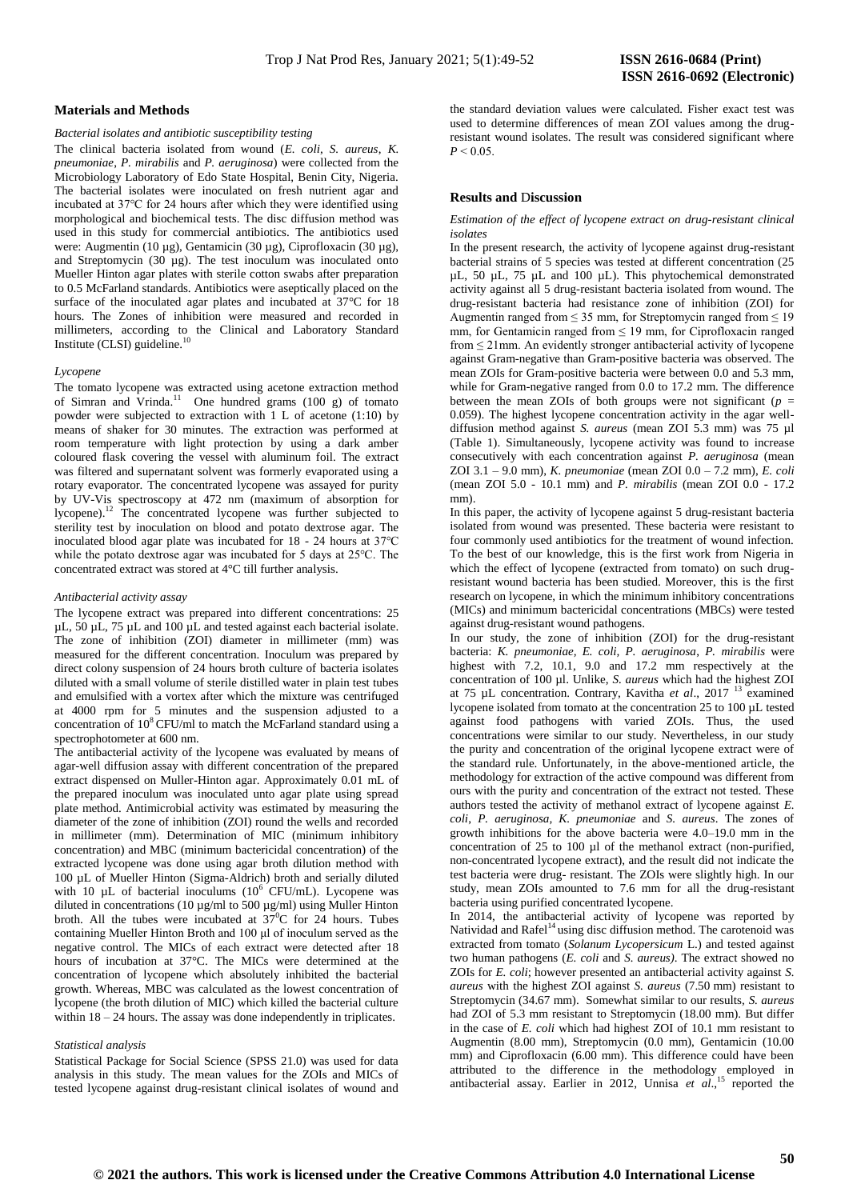## **Materials and Methods**

## *Bacterial isolates and antibiotic susceptibility testing*

The clinical bacteria isolated from wound (*E. coli*, *S. aureus*, *K. pneumoniae*, *P. mirabilis* and *P. aeruginosa*) were collected from the Microbiology Laboratory of Edo State Hospital, Benin City, Nigeria. The bacterial isolates were inoculated on fresh nutrient agar and incubated at 37℃ for 24 hours after which they were identified using morphological and biochemical tests. The disc diffusion method was used in this study for commercial antibiotics. The antibiotics used were: Augmentin (10 µg), Gentamicin (30 µg), Ciprofloxacin (30 µg), and Streptomycin (30 µg). The test inoculum was inoculated onto Mueller Hinton agar plates with sterile cotton swabs after preparation to 0.5 McFarland standards. Antibiotics were aseptically placed on the surface of the inoculated agar plates and incubated at 37°C for 18 hours. The Zones of inhibition were measured and recorded in millimeters, according to the Clinical and Laboratory Standard Institute (CLSI) guideline.

#### *Lycopene*

The tomato lycopene was extracted using acetone extraction method of Simran and Vrinda.<sup>11</sup> One hundred grams  $(100 g)$  of tomato powder were subjected to extraction with 1 L of acetone (1:10) by means of shaker for 30 minutes. The extraction was performed at room temperature with light protection by using a dark amber coloured flask covering the vessel with aluminum foil. The extract was filtered and supernatant solvent was formerly evaporated using a rotary evaporator. The concentrated lycopene was assayed for purity by UV-Vis spectroscopy at 472 nm (maximum of absorption for lycopene).<sup>12</sup> The concentrated lycopene was further subjected to sterility test by inoculation on blood and potato dextrose agar. The inoculated blood agar plate was incubated for 18 - 24 hours at 37℃ while the potato dextrose agar was incubated for 5 days at 25℃. The concentrated extract was stored at 4°C till further analysis.

#### *Antibacterial activity assay*

The lycopene extract was prepared into different concentrations: 25 µL, 50 µL, 75 µL and 100 µL and tested against each bacterial isolate. The zone of inhibition (ZOI) diameter in millimeter (mm) was measured for the different concentration. Inoculum was prepared by direct colony suspension of 24 hours broth culture of bacteria isolates diluted with a small volume of sterile distilled water in plain test tubes and emulsified with a vortex after which the mixture was centrifuged at 4000 rpm for 5 minutes and the suspension adjusted to a concentration of 10<sup>8</sup>CFU/ml to match the McFarland standard using a spectrophotometer at 600 nm.

The antibacterial activity of the lycopene was evaluated by means of agar-well diffusion assay with different concentration of the prepared extract dispensed on Muller-Hinton agar. Approximately 0.01 mL of the prepared inoculum was inoculated unto agar plate using spread plate method. Antimicrobial activity was estimated by measuring the diameter of the zone of inhibition (ZOI) round the wells and recorded in millimeter (mm). Determination of MIC (minimum inhibitory concentration) and MBC (minimum bactericidal concentration) of the extracted lycopene was done using agar broth dilution method with 100 µL of Mueller Hinton (Sigma-Aldrich) broth and serially diluted with 10  $\mu$ L of bacterial inoculums (10<sup>6</sup> CFU/mL). Lycopene was diluted in concentrations (10 µg/ml to 500 µg/ml) using Muller Hinton broth. All the tubes were incubated at  $37^{\circ}$ C for 24 hours. Tubes containing Mueller Hinton Broth and 100 μl of inoculum served as the negative control. The MICs of each extract were detected after 18 hours of incubation at 37°C. The MICs were determined at the concentration of lycopene which absolutely inhibited the bacterial growth. Whereas, MBC was calculated as the lowest concentration of lycopene (the broth dilution of MIC) which killed the bacterial culture within  $18 - 24$  hours. The assay was done independently in triplicates.

#### *Statistical analysis*

Statistical Package for Social Science (SPSS 21.0) was used for data analysis in this study. The mean values for the ZOIs and MICs of tested lycopene against drug-resistant clinical isolates of wound and the standard deviation values were calculated. Fisher exact test was used to determine differences of mean ZOI values among the drugresistant wound isolates. The result was considered significant where  $P < 0.05$ .

## **Results and** D**iscussion**

*Estimation of the effect of lycopene extract on drug-resistant clinical isolates*

In the present research, the activity of lycopene against drug-resistant bacterial strains of 5 species was tested at different concentration (25 µL, 50 µL, 75 µL and 100 µL). This phytochemical demonstrated activity against all 5 drug-resistant bacteria isolated from wound. The drug-resistant bacteria had resistance zone of inhibition (ZOI) for Augmentin ranged from  $\leq$  35 mm, for Streptomycin ranged from  $\leq$  19 mm, for Gentamicin ranged from  $\leq$  19 mm, for Ciprofloxacin ranged from  $\leq$  21mm. An evidently stronger antibacterial activity of lycopene against Gram-negative than Gram-positive bacteria was observed. The mean ZOIs for Gram-positive bacteria were between 0.0 and 5.3 mm, while for Gram-negative ranged from 0.0 to 17.2 mm. The difference between the mean ZOIs of both groups were not significant ( $p =$ 0.059). The highest lycopene concentration activity in the agar welldiffusion method against *S. aureus* (mean ZOI 5.3 mm) was 75 µl (Table 1). Simultaneously, lycopene activity was found to increase consecutively with each concentration against *P. aeruginosa* (mean ZOI 3.1 – 9.0 mm), *K. pneumoniae* (mean ZOI 0.0 – 7.2 mm), *E. coli* (mean ZOI 5.0 - 10.1 mm) and *P. mirabilis* (mean ZOI 0.0 - 17.2 mm).

In this paper, the activity of lycopene against 5 drug-resistant bacteria isolated from wound was presented. These bacteria were resistant to four commonly used antibiotics for the treatment of wound infection. To the best of our knowledge, this is the first work from Nigeria in which the effect of lycopene (extracted from tomato) on such drugresistant wound bacteria has been studied. Moreover, this is the first research on lycopene, in which the minimum inhibitory concentrations (MICs) and minimum bactericidal concentrations (MBCs) were tested against drug-resistant wound pathogens.

In our study, the zone of inhibition (ZOI) for the drug-resistant bacteria: *K. pneumoniae, E. coli, P. aeruginosa*, *P. mirabilis* were highest with 7.2, 10.1, 9.0 and 17.2 mm respectively at the concentration of 100 µl. Unlike, *S. aureus* which had the highest ZOI at 75 µL concentration. Contrary, Kavitha *et al*., 2017 <sup>13</sup> examined lycopene isolated from tomato at the concentration 25 to 100 µL tested against food pathogens with varied ZOIs. Thus, the used concentrations were similar to our study. Nevertheless, in our study the purity and concentration of the original lycopene extract were of the standard rule. Unfortunately, in the above-mentioned article, the methodology for extraction of the active compound was different from ours with the purity and concentration of the extract not tested. These authors tested the activity of methanol extract of lycopene against *E. coli*, *P. aeruginosa, K. pneumoniae* and *S. aureus*. The zones of growth inhibitions for the above bacteria were 4.0–19.0 mm in the concentration of 25 to 100 µl of the methanol extract (non-purified, non-concentrated lycopene extract), and the result did not indicate the test bacteria were drug- resistant. The ZOIs were slightly high. In our study, mean ZOIs amounted to 7.6 mm for all the drug-resistant bacteria using purified concentrated lycopene.

In 2014, the antibacterial activity of lycopene was reported by Natividad and Rafel<sup>14</sup> using disc diffusion method. The carotenoid was extracted from tomato (*Solanum Lycopersicum* L.) and tested against two human pathogens (*E. coli* and *S. aureus)*. The extract showed no ZOIs for *E. coli*; however presented an antibacterial activity against *S. aureus* with the highest ZOI against *S. aureus* (7.50 mm) resistant to Streptomycin (34.67 mm). Somewhat similar to our results, *S. aureus* had ZOI of 5.3 mm resistant to Streptomycin (18.00 mm). But differ in the case of *E. coli* which had highest ZOI of 10.1 mm resistant to Augmentin (8.00 mm), Streptomycin (0.0 mm), Gentamicin (10.00 mm) and Ciprofloxacin (6.00 mm). This difference could have been attributed to the difference in the methodology employed in antibacterial assay. Earlier in 2012, Unnisa *et al*., <sup>15</sup> reported the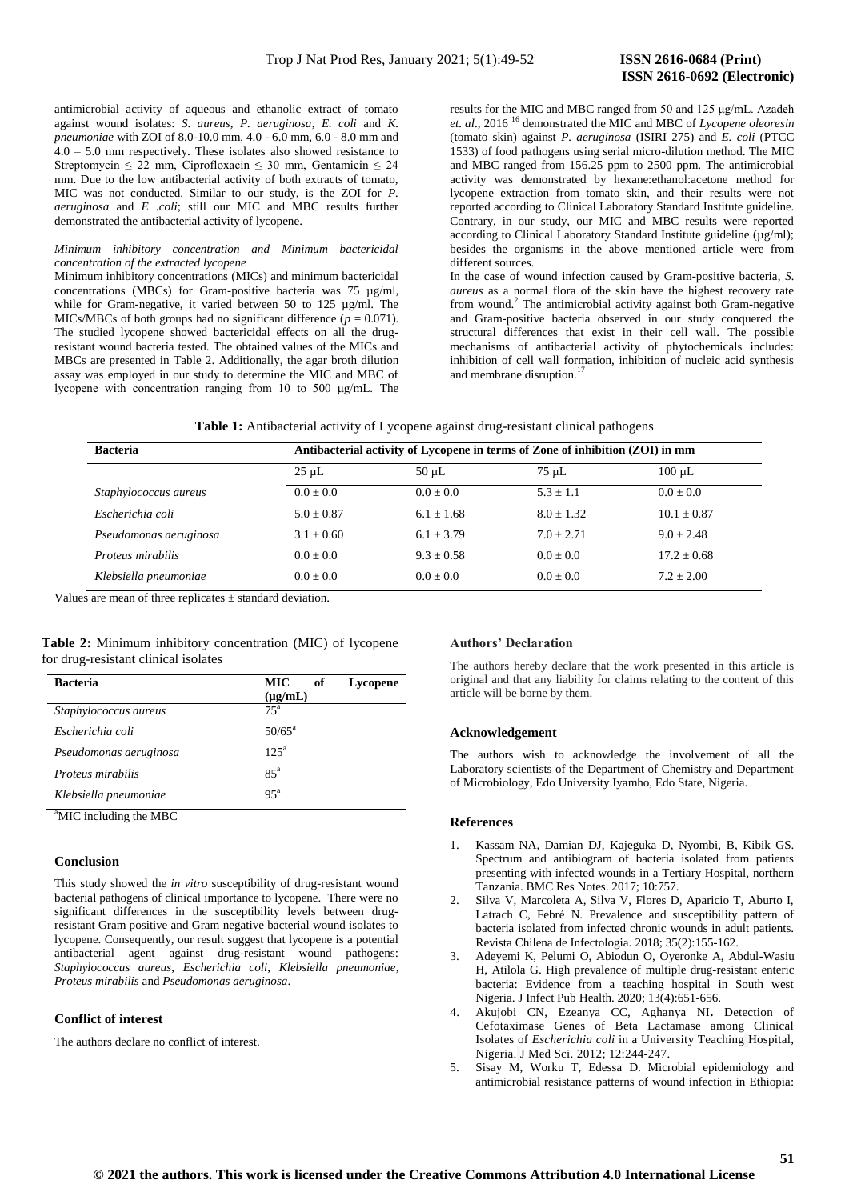antimicrobial activity of aqueous and ethanolic extract of tomato against wound isolates: *S. aureus, P. aeruginosa*, *E. coli* and *K. pneumoniae* with ZOI of 8.0-10.0 mm, 4.0 - 6.0 mm, 6.0 - 8.0 mm and  $4.0 - 5.0$  mm respectively. These isolates also showed resistance to Streptomycin  $\leq 22$  mm, Ciprofloxacin  $\leq 30$  mm, Gentamicin  $\leq 24$ mm. Due to the low antibacterial activity of both extracts of tomato, MIC was not conducted. Similar to our study, is the ZOI for *P. aeruginosa* and *E .coli*; still our MIC and MBC results further demonstrated the antibacterial activity of lycopene.

#### *Minimum inhibitory concentration and Minimum bactericidal concentration of the extracted lycopene*

Minimum inhibitory concentrations (MICs) and minimum bactericidal concentrations (MBCs) for Gram-positive bacteria was 75 µg/ml, while for Gram-negative, it varied between 50 to 125 µg/ml. The MICs/MBCs of both groups had no significant difference ( $p = 0.071$ ). The studied lycopene showed bactericidal effects on all the drugresistant wound bacteria tested. The obtained values of the MICs and MBCs are presented in Table 2. Additionally, the agar broth dilution assay was employed in our study to determine the MIC and MBC of lycopene with concentration ranging from 10 to 500 μg/mL. The results for the MIC and MBC ranged from 50 and 125 μg/mL. Azadeh *et. al*., 2016 <sup>16</sup> demonstrated the MIC and MBC of *Lycopene oleoresin* (tomato skin) against *P. aeruginosa* (ISIRI 275) and *E. coli* (PTCC 1533) of food pathogens using serial micro-dilution method. The MIC and MBC ranged from 156.25 ppm to 2500 ppm. The antimicrobial activity was demonstrated by hexane:ethanol:acetone method for lycopene extraction from tomato skin, and their results were not reported according to Clinical Laboratory Standard Institute guideline. Contrary, in our study, our MIC and MBC results were reported according to Clinical Laboratory Standard Institute guideline (µg/ml); besides the organisms in the above mentioned article were from different sources*.*

In the case of wound infection caused by Gram-positive bacteria, *S. aureus* as a normal flora of the skin have the highest recovery rate from wound.<sup>2</sup> The antimicrobial activity against both Gram-negative and Gram-positive bacteria observed in our study conquered the structural differences that exist in their cell wall. The possible mechanisms of antibacterial activity of phytochemicals includes: inhibition of cell wall formation, inhibition of nucleic acid synthesis and membrane disruption.<sup>17</sup>

|  |  |  |  |  |  | Table 1: Antibacterial activity of Lycopene against drug-resistant clinical pathogens |
|--|--|--|--|--|--|---------------------------------------------------------------------------------------|
|--|--|--|--|--|--|---------------------------------------------------------------------------------------|

| <b>Bacteria</b>        | Antibacterial activity of Lycopene in terms of Zone of inhibition (ZOI) in mm |              |              |                 |  |  |
|------------------------|-------------------------------------------------------------------------------|--------------|--------------|-----------------|--|--|
|                        | $25 \mu L$                                                                    | $50 \mu L$   | $75 \mu L$   | $100 \mu L$     |  |  |
| Staphylococcus aureus  | $0.0 + 0.0$                                                                   | $0.0 + 0.0$  | $5.3 + 1.1$  | $0.0 + 0.0$     |  |  |
| Escherichia coli       | $5.0 + 0.87$                                                                  | $6.1 + 1.68$ | $8.0 + 1.32$ | $10.1 \pm 0.87$ |  |  |
| Pseudomonas aeruginosa | $3.1 + 0.60$                                                                  | $6.1 + 3.79$ | $7.0 + 2.71$ | $9.0 + 2.48$    |  |  |
| Proteus mirabilis      | $0.0 + 0.0$                                                                   | $9.3 + 0.58$ | $0.0 + 0.0$  | $17.2 + 0.68$   |  |  |
| Klebsiella pneumoniae  | $0.0 + 0.0$                                                                   | $0.0 + 0.0$  | $0.0 + 0.0$  | $7.2 + 2.00$    |  |  |

Values are mean of three replicates ± standard deviation.

# **Table 2:** Minimum inhibitory concentration (MIC) of lycopene for drug-resistant clinical isolates

| <b>Bacteria</b>        | MIC<br>of<br>Lycopene<br>$(\mu g/mL)$ |
|------------------------|---------------------------------------|
| Staphylococcus aureus  | $75^{\mathrm{a}}$                     |
| Escherichia coli       | $50/65^{\rm a}$                       |
| Pseudomonas aeruginosa | $12.5^{\text{a}}$                     |
| Proteus mirabilis      | $85^{\circ}$                          |
| Klebsiella pneumoniae  | $95^{\mathrm{a}}$                     |

<sup>a</sup>MIC including the MBC

## **Conclusion**

This study showed the *in vitro* susceptibility of drug-resistant wound bacterial pathogens of clinical importance to lycopene. There were no significant differences in the susceptibility levels between drugresistant Gram positive and Gram negative bacterial wound isolates to lycopene. Consequently, our result suggest that lycopene is a potential antibacterial agent against drug-resistant wound pathogens: *Staphylococcus aureus*, *Escherichia coli*, *Klebsiella pneumoniae*, *Proteus mirabilis* and *Pseudomonas aeruginosa*.

## **Conflict of interest**

The authors declare no conflict of interest.

#### **Authors' Declaration**

The authors hereby declare that the work presented in this article is original and that any liability for claims relating to the content of this article will be borne by them.

### **Acknowledgement**

The authors wish to acknowledge the involvement of all the Laboratory scientists of the Department of Chemistry and Department of Microbiology, Edo University Iyamho, Edo State, Nigeria.

# **References**

- 1. Kassam NA, Damian DJ, Kajeguka D, Nyombi, B, Kibik GS. Spectrum and antibiogram of bacteria isolated from patients presenting with infected wounds in a Tertiary Hospital, northern Tanzania. BMC Res Notes. 2017; 10:757.
- 2. Silva V, Marcoleta A, Silva V, Flores D, Aparicio T, Aburto I, Latrach C, Febré N. Prevalence and susceptibility pattern of bacteria isolated from infected chronic wounds in adult patients. Revista Chilena de Infectologia. 2018; 35(2):155-162.
- 3. Adeyemi K, Pelumi O, Abiodun O, Oyeronke A, Abdul-Wasiu H, Atilola G. High prevalence of multiple drug-resistant enteric bacteria: Evidence from a teaching hospital in South west Nigeria. J Infect Pub Health. 2020; 13(4):651-656.
- 4. Akujobi CN, Ezeanya CC, Aghanya NI**.** Detection of Cefotaximase Genes of Beta Lactamase among Clinical Isolates of *Escherichia coli* in a University Teaching Hospital, Nigeria. J Med Sci. 2012; 12:244-247.
- 5. Sisay M, Worku T, Edessa D. Microbial epidemiology and antimicrobial resistance patterns of wound infection in Ethiopia: